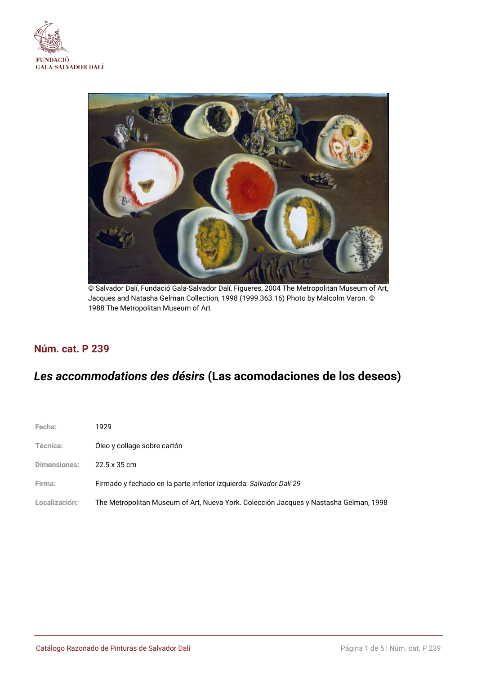



© Salvador Dalí, Fundació Gala-Salvador Dalí, Figueres, 2004 The Metropolitan Museum of Art, Jacques and Natasha Gelman Collection, 1998 (1999.363.16) Photo by Malcolm Varon. © 1988 The Metropolitan Museum of Art

## **Núm. cat. P 239**

# *Les accommodations des désirs* **(Las acomodaciones de los deseos)**

| Fecha:          | 1929                                                                                  |
|-----------------|---------------------------------------------------------------------------------------|
| <b>Técnica:</b> | Oleo y collage sobre cartón                                                           |
| Dimensiones:    | 22.5 x 35 cm                                                                          |
| Firma:          | Firmado y fechado en la parte inferior izquierda: Salvador Dalí 29                    |
| Localización:   | The Metropolitan Museum of Art, Nueva York. Colección Jacques y Nastasha Gelman, 1998 |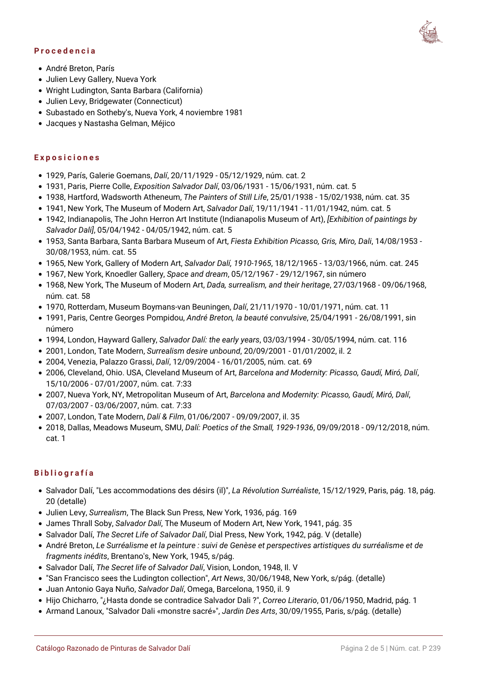#### **Procedencia**

- André Breton, París
- Julien Levy Gallery, Nueva York
- Wright Ludington, Santa Barbara (California)
- Julien Levy, Bridgewater (Connecticut)
- Subastado en Sotheby's, Nueva York, 4 noviembre 1981
- Jacques y Nastasha Gelman, Méjico

#### **Exposiciones**

- 1929, París, Galerie Goemans, *Dalí*, 20/11/1929 05/12/1929, núm. cat. 2
- 1931, Paris, Pierre Colle, *Exposition Salvador Dalí*, 03/06/1931 15/06/1931, núm. cat. 5
- 1938, Hartford, Wadsworth Atheneum, *The Painters of Still Life*, 25/01/1938 15/02/1938, núm. cat. 35
- 1941, New York, The Museum of Modern Art, *Salvador Dalí*, 19/11/1941 11/01/1942, núm. cat. 5
- 1942, Indianapolis, The John Herron Art Institute (Indianapolis Museum of Art), *[Exhibition of paintings by Salvador Dali]*, 05/04/1942 - 04/05/1942, núm. cat. 5
- 1953, Santa Barbara, Santa Barbara Museum of Art, *Fiesta Exhibition Picasso, Gris, Miro, Dali*, 14/08/1953 30/08/1953, núm. cat. 55
- 1965, New York, Gallery of Modern Art, *Salvador Dalí, 1910-1965*, 18/12/1965 13/03/1966, núm. cat. 245
- 1967, New York, Knoedler Gallery, *Space and dream*, 05/12/1967 29/12/1967, sin número
- 1968, New York, The Museum of Modern Art, *Dada, surrealism, and their heritage*, 27/03/1968 09/06/1968, núm. cat. 58
- 1970, Rotterdam, Museum Boymans-van Beuningen, *Dalí*, 21/11/1970 10/01/1971, núm. cat. 11
- 1991, Paris, Centre Georges Pompidou, *André Breton, la beauté convulsive*, 25/04/1991 26/08/1991, sin número
- 1994, London, Hayward Gallery, *Salvador Dalí: the early years*, 03/03/1994 30/05/1994, núm. cat. 116
- 2001, London, Tate Modern, *Surrealism desire unbound*, 20/09/2001 01/01/2002, il. 2
- 2004, Venezia, Palazzo Grassi, *Dalí*, 12/09/2004 16/01/2005, núm. cat. 69
- 2006, Cleveland, Ohio. USA, Cleveland Museum of Art, *Barcelona and Modernity: Picasso, Gaudí, Miró, Dalí*, 15/10/2006 - 07/01/2007, núm. cat. 7:33
- 2007, Nueva York, NY, Metropolitan Museum of Art, *Barcelona and Modernity: Picasso, Gaudí, Miró, Dalí*, 07/03/2007 - 03/06/2007, núm. cat. 7:33
- 2007, London, Tate Modern, *Dalí & Film*, 01/06/2007 09/09/2007, il. 35
- 2018, Dallas, Meadows Museum, SMU, *Dalí: Poetics of the Small, 1929-1936*, 09/09/2018 09/12/2018, núm. cat. 1

#### **Bibliografía**

- Salvador Dalí, "Les accommodations des désirs (il)", *La Révolution Surréaliste*, 15/12/1929, Paris, pág. 18, pág. 20 (detalle)
- Julien Levy, *Surrealism*, The Black Sun Press, New York, 1936, pág. 169
- James Thrall Soby, *Salvador Dalí*, The Museum of Modern Art, New York, 1941, pág. 35
- Salvador Dalí, *The Secret Life of Salvador Dalí*, Dial Press, New York, 1942, pág. V (detalle)
- André Breton, *Le Surréalisme et la peinture : suivi de Genèse et perspectives artistiques du surréalisme et de fragments inédits*, Brentano's, New York, 1945, s/pág.
- Salvador Dalí, *The Secret life of Salvador Dalí*, Vision, London, 1948, Il. V
- "San Francisco sees the Ludington collection", *Art News*, 30/06/1948, New York, s/pág. (detalle)
- Juan Antonio Gaya Nuño, *Salvador Dalí*, Omega, Barcelona, 1950, il. 9
- Hijo Chicharro, "¿Hasta donde se contradice Salvador Dali ?", *Correo Literario*, 01/06/1950, Madrid, pág. 1
- Armand Lanoux, "Salvador Dali «monstre sacré»", *Jardin Des Arts*, 30/09/1955, Paris, s/pág. (detalle)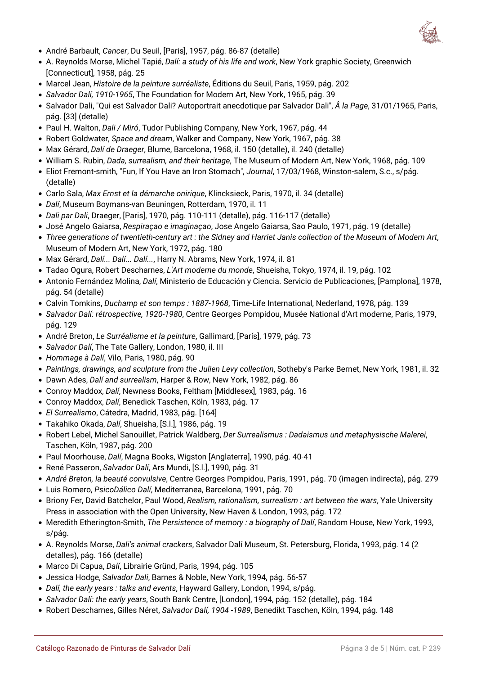

- André Barbault, *Cancer*, Du Seuil, [Paris], 1957, pág. 86-87 (detalle)
- A. Reynolds Morse, Michel Tapié, *Dalí: a study of his life and work*, New York graphic Society, Greenwich [Connecticut], 1958, pág. 25
- Marcel Jean, *Histoire de la peinture surréaliste*, Éditions du Seuil, Paris, 1959, pág. 202
- *Salvador Dalí, 1910-1965*, The Foundation for Modern Art, New York, 1965, pág. 39
- Salvador Dali, "Qui est Salvador Dali? Autoportrait anecdotique par Salvador Dali",  *la Page*, 31/01/1965, Paris, pág. [33] (detalle)
- Paul H. Walton, *Dali / Miró*, Tudor Publishing Company, New York, 1967, pág. 44
- Robert Goldwater, *Space and dream*, Walker and Company, New York, 1967, pág. 38
- Max Gérard, *Dalí de Draeger*, Blume, Barcelona, 1968, il. 150 (detalle), il. 240 (detalle)
- William S. Rubin, *Dada, surrealism, and their heritage*, The Museum of Modern Art, New York, 1968, pág. 109
- Eliot Fremont-smith, "Fun, If You Have an Iron Stomach", *Journal*, 17/03/1968, Winston-salem, S.c., s/pág. (detalle)
- Carlo Sala, *Max Ernst et la démarche onirique*, Klincksieck, Paris, 1970, il. 34 (detalle)
- *Dalí*, Museum Boymans-van Beuningen, Rotterdam, 1970, il. 11
- *Dali par Dali*, Draeger, [Paris], 1970, pág. 110-111 (detalle), pág. 116-117 (detalle)
- José Angelo Gaiarsa, *Respiraçao e imaginaçao*, Jose Angelo Gaiarsa, Sao Paulo, 1971, pág. 19 (detalle)
- *Three generations of twentieth-century art : the Sidney and Harriet Janis collection of the Museum of Modern Art*, Museum of Modern Art, New York, 1972, pág. 180
- Max Gérard, *Dalí... Dalí... Dalí...*, Harry N. Abrams, New York, 1974, il. 81
- Tadao Ogura, Robert Descharnes, *L'Art moderne du monde*, Shueisha, Tokyo, 1974, il. 19, pág. 102
- Antonio Fernández Molina, *Dalí*, Ministerio de Educación y Ciencia. Servicio de Publicaciones, [Pamplona], 1978, pág. 54 (detalle)
- Calvin Tomkins, *Duchamp et son temps : 1887-1968*, Time-Life International, Nederland, 1978, pág. 139
- *Salvador Dalí: rétrospective, 1920-1980*, Centre Georges Pompidou, Musée National d'Art moderne, Paris, 1979, pág. 129
- André Breton, *Le Surréalisme et la peinture*, Gallimard, [París], 1979, pág. 73
- *Salvador Dalí*, The Tate Gallery, London, 1980, il. III
- *Hommage à Dalí*, Vilo, Paris, 1980, pág. 90
- *Paintings, drawings, and sculpture from the Julien Levy collection*, Sotheby's Parke Bernet, New York, 1981, il. 32
- Dawn Ades, *Dalí and surrealism*, Harper & Row, New York, 1982, pág. 86
- Conroy Maddox, *Dalí*, Newness Books, Feltham [Middlesex], 1983, pág. 16
- Conroy Maddox, *Dalí*, Benedick Taschen, Köln, 1983, pág. 17
- *El Surrealismo*, Cátedra, Madrid, 1983, pág. [164]
- Takahiko Okada, *Dalí*, Shueisha, [S.l.], 1986, pág. 19
- Robert Lebel, Michel Sanouillet, Patrick Waldberg, *Der Surrealismus : Dadaismus und metaphysische Malerei*, Taschen, Köln, 1987, pág. 200
- Paul Moorhouse, *Dalí*, Magna Books, Wigston [Anglaterra], 1990, pág. 40-41
- René Passeron, *Salvador Dalí*, Ars Mundi, [S.l.], 1990, pág. 31
- *André Breton, la beauté convulsive*, Centre Georges Pompidou, Paris, 1991, pág. 70 (imagen indirecta), pág. 279
- Luis Romero, *PsicoDálico Dalí*, Mediterranea, Barcelona, 1991, pág. 70
- Briony Fer, David Batchelor, Paul Wood, *Realism, rationalism, surrealism : art between the wars*, Yale University Press in association with the Open University, New Haven & London, 1993, pág. 172
- Meredith Etherington-Smith, *The Persistence of memory : a biography of Dalí*, Random House, New York, 1993, s/pág.
- A. Reynolds Morse, *Dali's animal crackers*, Salvador Dalí Museum, St. Petersburg, Florida, 1993, pág. 14 (2 detalles), pág. 166 (detalle)
- Marco Di Capua, *Dalí*, Librairie Gründ, Paris, 1994, pág. 105
- Jessica Hodge, *Salvador Dali*, Barnes & Noble, New York, 1994, pág. 56-57
- *Dalí, the early years : talks and events*, Hayward Gallery, London, 1994, s/pág.
- *Salvador Dalí: the early years*, South Bank Centre, [London], 1994, pág. 152 (detalle), pág. 184
- Robert Descharnes, Gilles Néret, *Salvador Dalí, 1904 -1989*, Benedikt Taschen, Köln, 1994, pág. 148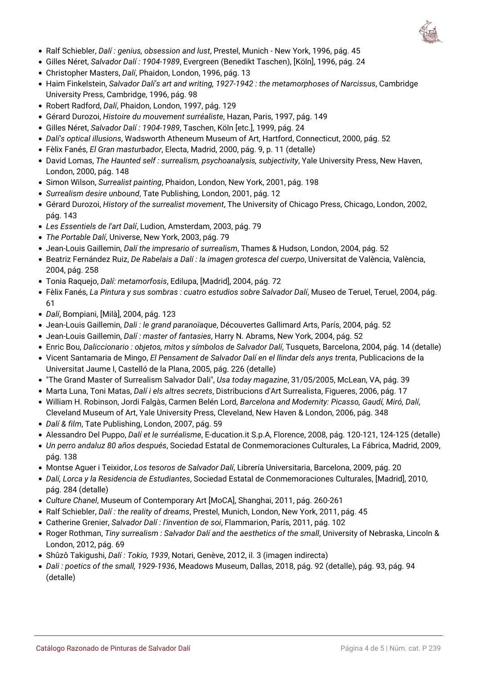

- Ralf Schiebler, *Dalí : genius, obsession and lust*, Prestel, Munich New York, 1996, pág. 45
- Gilles Néret, *Salvador Dalí : 1904-1989*, Evergreen (Benedikt Taschen), [Köln], 1996, pág. 24
- Christopher Masters, *Dalí*, Phaidon, London, 1996, pág. 13
- Haim Finkelstein, *Salvador Dalí's art and writing, 1927-1942 : the metamorphoses of Narcissus*, Cambridge University Press, Cambridge, 1996, pág. 98
- Robert Radford, *Dalí*, Phaidon, London, 1997, pág. 129
- Gérard Durozoi, *Histoire du mouvement surréaliste*, Hazan, Paris, 1997, pág. 149
- Gilles Néret, *Salvador Dalí : 1904-1989*, Taschen, Köln [etc.], 1999, pág. 24
- *Dalí's optical illusions*, Wadsworth Atheneum Museum of Art, Hartford, Connecticut, 2000, pág. 52
- Fèlix Fanés, *El Gran masturbador*, Electa, Madrid, 2000, pág. 9, p. 11 (detalle)
- David Lomas, *The Haunted self : surrealism, psychoanalysis, subjectivity*, Yale University Press, New Haven, London, 2000, pág. 148
- Simon Wilson, *Surrealist painting*, Phaidon, London, New York, 2001, pág. 198
- *Surrealism desire unbound*, Tate Publishing, London, 2001, pág. 12
- Gérard Durozoi, *History of the surrealist movement*, The University of Chicago Press, Chicago, London, 2002, pág. 143
- *Les Essentiels de l'art Dalí*, Ludion, Amsterdam, 2003, pág. 79
- *The Portable Dalí*, Universe, New York, 2003, pág. 79
- Jean-Louis Gaillemin, *Dalí the impresario of surrealism*, Thames & Hudson, London, 2004, pág. 52
- Beatriz Fernández Ruiz, *De Rabelais a Dalí : la imagen grotesca del cuerpo*, Universitat de València, València, 2004, pág. 258
- Tonia Raquejo, *Dalí: metamorfosis*, Edilupa, [Madrid], 2004, pág. 72
- Fèlix Fanés, *La Pintura y sus sombras : cuatro estudios sobre Salvador Dalí*, Museo de Teruel, Teruel, 2004, pág. 61
- *Dalí*, Bompiani, [Milà], 2004, pág. 123
- Jean-Louis Gaillemin, *Dali : le grand paranoïaque*, Découvertes Gallimard Arts, París, 2004, pág. 52
- Jean-Louis Gaillemin, *Dalí : master of fantasies*, Harry N. Abrams, New York, 2004, pág. 52
- Enric Bou, *Daliccionario : objetos, mitos y símbolos de Salvador Dalí*, Tusquets, Barcelona, 2004, pág. 14 (detalle)
- Vicent Santamaria de Mingo, *El Pensament de Salvador Dalí en el llindar dels anys trenta*, Publicacions de la Universitat Jaume I, Castelló de la Plana, 2005, pág. 226 (detalle)
- "The Grand Master of Surrealism Salvador Dali", *Usa today magazine*, 31/05/2005, McLean, VA, pág. 39
- Marta Luna, Toni Matas, *Dalí i els altres secrets*, Distribucions d'Art Surrealista, Figueres, 2006, pág. 17
- William H. Robinson, Jordi Falgàs, Carmen Belén Lord, *Barcelona and Modernity: Picasso, Gaudí, Miró, Dalí*, Cleveland Museum of Art, Yale University Press, Cleveland, New Haven & London, 2006, pág. 348
- *Dalí & film*, Tate Publishing, London, 2007, pág. 59
- Alessandro Del Puppo, *Dalí et le surréalisme*, E-ducation.it S.p.A, Florence, 2008, pág. 120-121, 124-125 (detalle)
- *Un perro andaluz 80 años después*, Sociedad Estatal de Conmemoraciones Culturales, La Fábrica, Madrid, 2009, pág. 138
- Montse Aguer i Teixidor, *Los tesoros de Salvador Dalí*, Librería Universitaria, Barcelona, 2009, pág. 20
- *Dalí, Lorca y la Residencia de Estudiantes*, Sociedad Estatal de Conmemoraciones Culturales, [Madrid], 2010, pág. 284 (detalle)
- *Culture Chanel*, Museum of Contemporary Art [MoCA], Shanghai, 2011, pág. 260-261
- Ralf Schiebler, *Dalí : the reality of dreams*, Prestel, Munich, London, New York, 2011, pág. 45
- Catherine Grenier, *Salvador Dalí : l'invention de soi*, Flammarion, París, 2011, pág. 102
- Roger Rothman, *Tiny surrealism : Salvador Dalí and the aesthetics of the small*, University of Nebraska, Lincoln & London, 2012, pág. 69
- Shûzô Takigushi, *Dalí : Tokio, 1939*, Notari, Genève, 2012, il. 3 (imagen indirecta)
- *Dali : poetics of the small, 1929-1936*, Meadows Museum, Dallas, 2018, pág. 92 (detalle), pág. 93, pág. 94 (detalle)